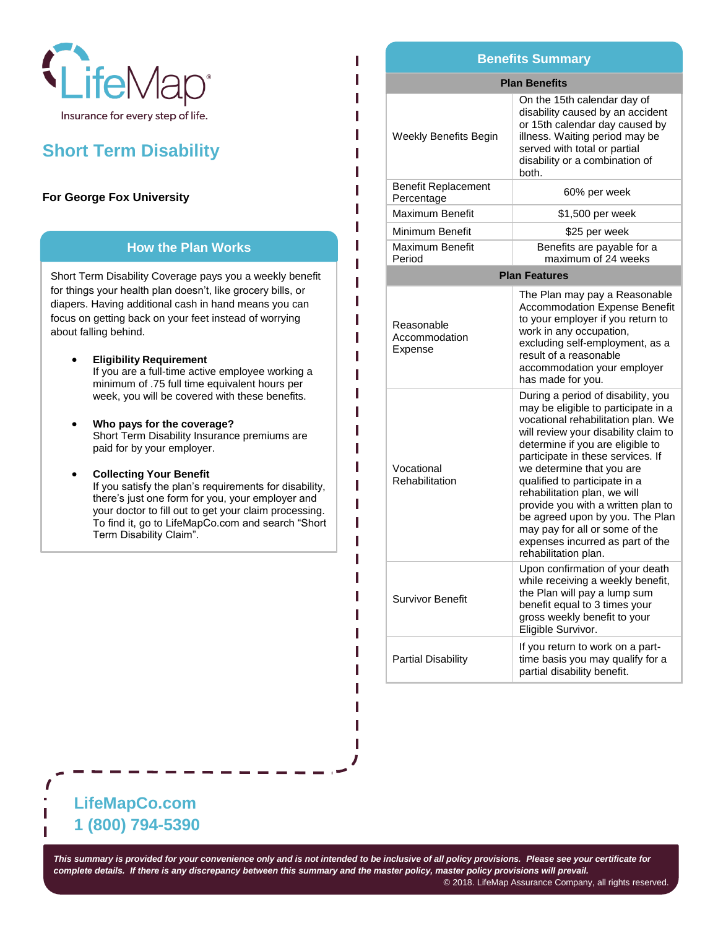

# **Short Term Disability**

## **For George Fox University**

#### **How the Plan Works**

Short Term Disability Coverage pays you a weekly benefit for things your health plan doesn't, like grocery bills, or diapers. Having additional cash in hand means you can focus on getting back on your feet instead of worrying about falling behind.

- **Eligibility Requirement** If you are a full-time active employee working a minimum of .75 full time equivalent hours per week, you will be covered with these benefits.
- **Who pays for the coverage?**  Short Term Disability Insurance premiums are paid for by your employer.
	- **Collecting Your Benefit** If you satisfy the plan's requirements for disability, there's just one form for you, your employer and your doctor to fill out to get your claim processing. To find it, go to LifeMapCo.com and search "Short Term Disability Claim".

#### **Plan Benefits** Weekly Benefits Begin On the 15th calendar day of disability caused by an accident or 15th calendar day caused by illness. Waiting period may be served with total or partial disability or a combination of both. Benefit Replacement Percentage 60% per week Maximum Benefit | \$1,500 per week Minimum Benefit | \$25 per week Maximum Benefit Period Benefits are payable for a maximum of 24 weeks **Plan Features** Reasonable Accommodation Expense The Plan may pay a Reasonable Accommodation Expense Benefit to your employer if you return to work in any occupation, excluding self-employment, as a result of a reasonable accommodation your employer has made for you. Vocational Rehabilitation During a period of disability, you may be eligible to participate in a vocational rehabilitation plan. We will review your disability claim to determine if you are eligible to participate in these services. If we determine that you are qualified to participate in a rehabilitation plan, we will provide you with a written plan to be agreed upon by you. The Plan may pay for all or some of the expenses incurred as part of the **Benefits Summary**

rehabilitation plan. Survivor Benefit Upon confirmation of your death while receiving a weekly benefit, the Plan will pay a lump sum benefit equal to 3 times your gross weekly benefit to your Eligible Survivor. Partial Disability If you return to work on a parttime basis you may qualify for a partial disability benefit.

# **LifeMapCo.com 1 (800) 794-5390**

*This summary is provided for your convenience only and is not intended to be inclusive of all policy provisions. Please see your certificate for complete details. If there is any discrepancy between this summary and the master policy, master policy provisions will prevail.*